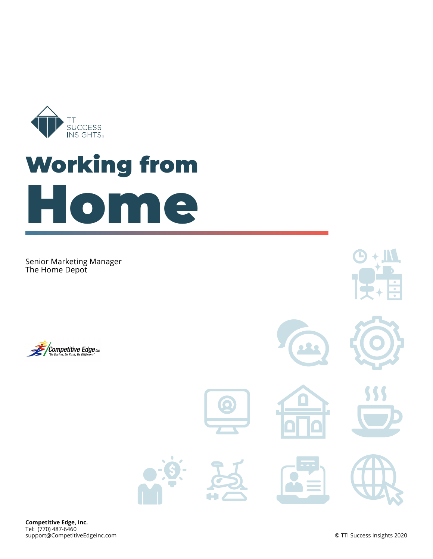

# **Working from Home**

Senior Marketing Manager The Home Depot



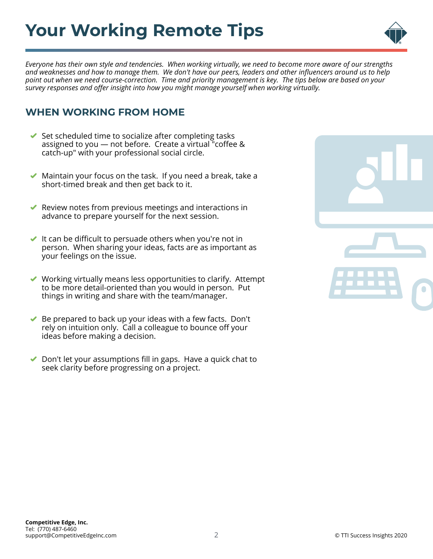## **Your Working Remote Tips**



*Everyone has their own style and tendencies. When working virtually, we need to become more aware of our strengths and weaknesses and how to manage them. We don't have our peers, leaders and other influencers around us to help point out when we need course-correction. Time and priority management is key. The tips below are based on your survey responses and offer insight into how you might manage yourself when working virtually.*

### **WHEN WORKING FROM HOME**

- $\blacktriangleright$  Set scheduled time to socialize after completing tasks assigned to you — not before. Create a virtual "coffee & catch-up" with your professional social circle.
- Maintain your focus on the task. If you need a break, take a  $\blacktriangledown$ short-timed break and then get back to it.
- Review notes from previous meetings and interactions in advance to prepare yourself for the next session.
- It can be difficult to persuade others when you're not in person. When sharing your ideas, facts are as important as your feelings on the issue.
- Working virtually means less opportunities to clarify. Attempt to be more detail-oriented than you would in person. Put things in writing and share with the team/manager.
- Be prepared to back up your ideas with a few facts. Don't rely on intuition only. Call a colleague to bounce off your ideas before making a decision.
- Don't let your assumptions fill in gaps. Have a quick chat to  $\blacktriangledown$ seek clarity before progressing on a project.

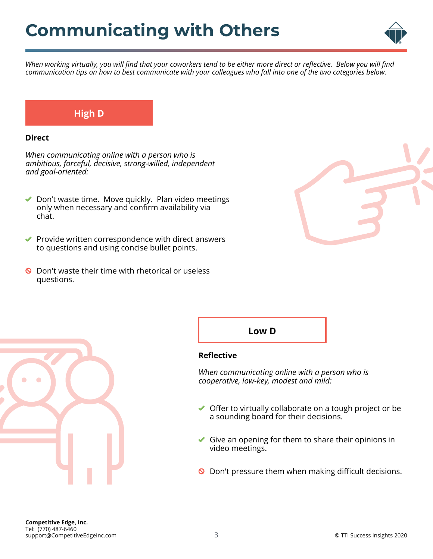

*When working virtually, you will find that your coworkers tend to be either more direct or reflective. Below you will find communication tips on how to best communicate with your colleagues who fall into one of the two categories below.*

### **High D**

#### **Direct**

*When communicating online with a person who is ambitious, forceful, decisive, strong-willed, independent and goal-oriented:*

- ◆ Don't waste time. Move quickly. Plan video meetings only when necessary and confirm availability via chat.
- $\blacktriangleright$  Provide written correspondence with direct answers to questions and using concise bullet points.
- $\bullet$  Don't waste their time with rhetorical or useless questions.





#### **Reflective**

*When communicating online with a person who is cooperative, low-key, modest and mild:*

- ◆ Offer to virtually collaborate on a tough project or be a sounding board for their decisions.
- Give an opening for them to share their opinions in video meetings.
- O Don't pressure them when making difficult decisions.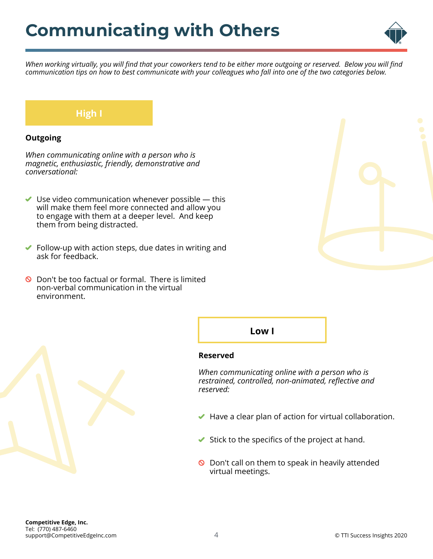

*When working virtually, you will find that your coworkers tend to be either more outgoing or reserved. Below you will find communication tips on how to best communicate with your colleagues who fall into one of the two categories below.*

### **High I**

#### **Outgoing**

*When communicating online with a person who is magnetic, enthusiastic, friendly, demonstrative and conversational:*

- $\blacktriangleright$  Use video communication whenever possible  $-$  this will make them feel more connected and allow you to engage with them at a deeper level. And keep them from being distracted.
- $\blacktriangleright$  Follow-up with action steps, due dates in writing and ask for feedback.
- **O** Don't be too factual or formal. There is limited non-verbal communication in the virtual environment.





**Low I**

#### **Reserved**

*When communicating online with a person who is restrained, controlled, non-animated, reflective and reserved:*

- $\blacktriangleright$  Have a clear plan of action for virtual collaboration.
- $\blacktriangleright$  Stick to the specifics of the project at hand.
- **O** Don't call on them to speak in heavily attended virtual meetings.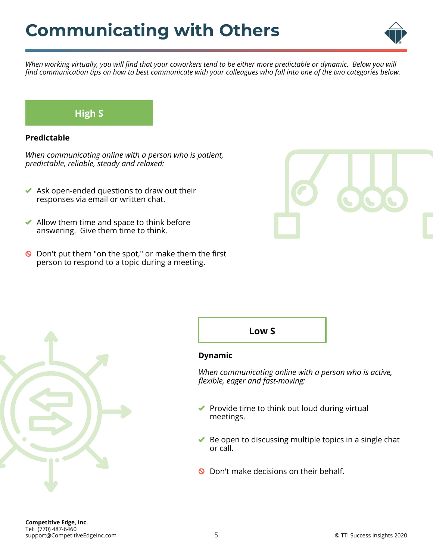

*When working virtually, you will find that your coworkers tend to be either more predictable or dynamic. Below you will find communication tips on how to best communicate with your colleagues who fall into one of the two categories below.*

### **High S**

#### **Predictable**

*When communicating online with a person who is patient, predictable, reliable, steady and relaxed:*

- $\blacktriangleright$  Ask open-ended questions to draw out their responses via email or written chat.
- $\blacktriangleright$  Allow them time and space to think before answering. Give them time to think.
- $\bullet$  Don't put them "on the spot," or make them the first person to respond to a topic during a meeting.







#### **Dynamic**

*When communicating online with a person who is active, flexible, eager and fast-moving:*

- $\blacktriangleright$  Provide time to think out loud during virtual meetings.
- $\blacktriangleright$  Be open to discussing multiple topics in a single chat or call.
- **Q** Don't make decisions on their behalf.